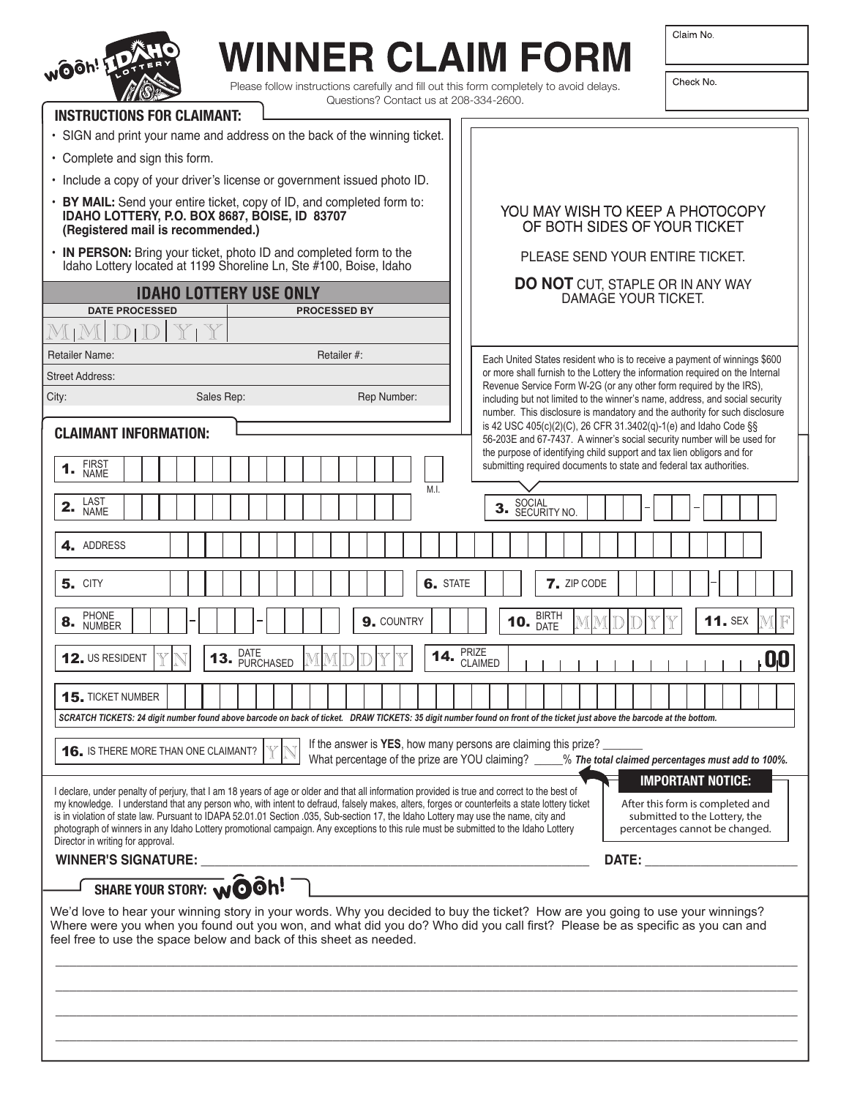

## **WINNER CLAIM FORM**

Please follow instructions carefully and fill out this form completely to avoid delays.<br>Custing 2 Context us at 200, 224, 2600.  $\overline{O}$  Contact use

Check No.

| QUESIIONS A CONTACT US AT 200-334-2000.<br><b>INSTRUCTIONS FOR CLAIMANT:</b>                                                                                                                                                                                                                                                                                                                                                                                                                                                                                               |                                                                                                                                                                         |
|----------------------------------------------------------------------------------------------------------------------------------------------------------------------------------------------------------------------------------------------------------------------------------------------------------------------------------------------------------------------------------------------------------------------------------------------------------------------------------------------------------------------------------------------------------------------------|-------------------------------------------------------------------------------------------------------------------------------------------------------------------------|
| • SIGN and print your name and address on the back of the winning ticket.                                                                                                                                                                                                                                                                                                                                                                                                                                                                                                  |                                                                                                                                                                         |
| • Complete and sign this form.                                                                                                                                                                                                                                                                                                                                                                                                                                                                                                                                             |                                                                                                                                                                         |
| · Include a copy of your driver's license or government issued photo ID.                                                                                                                                                                                                                                                                                                                                                                                                                                                                                                   |                                                                                                                                                                         |
| • BY MAIL: Send your entire ticket, copy of ID, and completed form to:<br>IDAHO LOTTERY, P.O. BOX 8687, BOISE, ID 83707<br>(Registered mail is recommended.)                                                                                                                                                                                                                                                                                                                                                                                                               | YOU MAY WISH TO KEEP A PHOTOCOPY<br>OF BOTH SIDES OF YOUR TICKET                                                                                                        |
| • IN PERSON: Bring your ticket, photo ID and completed form to the<br>Idaho Lottery located at 1199 Shoreline Ln, Ste #100, Boise, Idaho                                                                                                                                                                                                                                                                                                                                                                                                                                   | PLEASE SEND YOUR ENTIRE TICKET.                                                                                                                                         |
| <b>IDAHO LOTTERY USE ONLY</b>                                                                                                                                                                                                                                                                                                                                                                                                                                                                                                                                              | <b>DO NOT CUT, STAPLE OR IN ANY WAY</b><br>DAMAGE YOUR TICKET.                                                                                                          |
| <b>DATE PROCESSED</b><br><b>PROCESSED BY</b>                                                                                                                                                                                                                                                                                                                                                                                                                                                                                                                               |                                                                                                                                                                         |
|                                                                                                                                                                                                                                                                                                                                                                                                                                                                                                                                                                            |                                                                                                                                                                         |
| <b>Retailer Name:</b><br>Retailer #:                                                                                                                                                                                                                                                                                                                                                                                                                                                                                                                                       | Each United States resident who is to receive a payment of winnings \$600                                                                                               |
| <b>Street Address:</b>                                                                                                                                                                                                                                                                                                                                                                                                                                                                                                                                                     | or more shall furnish to the Lottery the information required on the Internal<br>Revenue Service Form W-2G (or any other form required by the IRS).                     |
| City:<br>Sales Rep:<br>Rep Number:                                                                                                                                                                                                                                                                                                                                                                                                                                                                                                                                         | including but not limited to the winner's name, address, and social security<br>number. This disclosure is mandatory and the authority for such disclosure              |
| <b>CLAIMANT INFORMATION:</b>                                                                                                                                                                                                                                                                                                                                                                                                                                                                                                                                               | is 42 USC 405(c)(2)(C), 26 CFR 31.3402(q)-1(e) and Idaho Code §§<br>56-203E and 67-7437. A winner's social security number will be used for                             |
| FIRST<br>NAME<br>1.                                                                                                                                                                                                                                                                                                                                                                                                                                                                                                                                                        | the purpose of identifying child support and tax lien obligors and for<br>submitting required documents to state and federal tax authorities.                           |
| M.I.<br>LAST<br>NAME<br>2.                                                                                                                                                                                                                                                                                                                                                                                                                                                                                                                                                 | SOCIAL<br>SECURITY NO.<br>3.                                                                                                                                            |
| 4. ADDRESS                                                                                                                                                                                                                                                                                                                                                                                                                                                                                                                                                                 |                                                                                                                                                                         |
| <b>5. CITY</b>                                                                                                                                                                                                                                                                                                                                                                                                                                                                                                                                                             | <b>7.</b> ZIP CODE<br><b>6.</b> STATE                                                                                                                                   |
| <b>PHONE</b>                                                                                                                                                                                                                                                                                                                                                                                                                                                                                                                                                               |                                                                                                                                                                         |
| 9. COUNTRY<br>8.<br><b>NUMBER</b>                                                                                                                                                                                                                                                                                                                                                                                                                                                                                                                                          | BIRTH<br>DATE<br>10.<br><b>11. SEX</b>                                                                                                                                  |
| DATE<br>14.<br>12. US RESIDENT<br>13. PURCHASED                                                                                                                                                                                                                                                                                                                                                                                                                                                                                                                            | PRIZE<br>CLAIMED<br>$\blacksquare$                                                                                                                                      |
| <b>15. TICKET NUMBER</b>                                                                                                                                                                                                                                                                                                                                                                                                                                                                                                                                                   |                                                                                                                                                                         |
| SCRATCH TICKETS: 24 digit number found above barcode on back of ticket. DRAW TICKETS: 35 digit number found on front of the ticket just above the barcode at the bottom.                                                                                                                                                                                                                                                                                                                                                                                                   |                                                                                                                                                                         |
| <b>16.</b> IS THERE MORE THAN ONE CLAIMANT?                                                                                                                                                                                                                                                                                                                                                                                                                                                                                                                                | If the answer is YES, how many persons are claiming this prize?<br>What percentage of the prize are YOU claiming? ____% The total claimed percentages must add to 100%. |
|                                                                                                                                                                                                                                                                                                                                                                                                                                                                                                                                                                            | <b>IMPORTANT NOTICE:</b>                                                                                                                                                |
| I declare, under penalty of perjury, that I am 18 years of age or older and that all information provided is true and correct to the best of<br>my knowledge. I understand that any person who, with intent to defraud, falsely makes, alters, forges or counterfeits a state lottery ticket<br>is in violation of state law. Pursuant to IDAPA 52.01.01 Section .035, Sub-section 17, the Idaho Lottery may use the name, city and<br>photograph of winners in any Idaho Lottery promotional campaign. Any exceptions to this rule must be submitted to the Idaho Lottery | After this form is completed and<br>submitted to the Lottery, the<br>percentages cannot be changed.                                                                     |
| Director in writing for approval.<br><b>WINNER'S SIGNATURE:</b>                                                                                                                                                                                                                                                                                                                                                                                                                                                                                                            | DATE:                                                                                                                                                                   |
| SHARE YOUR STORY: woon!                                                                                                                                                                                                                                                                                                                                                                                                                                                                                                                                                    |                                                                                                                                                                         |
| We'd love to hear your winning story in your words. Why you decided to buy the ticket? How are you going to use your winnings?                                                                                                                                                                                                                                                                                                                                                                                                                                             |                                                                                                                                                                         |
| Where were you when you found out you won, and what did you do? Who did you call first? Please be as specific as you can and<br>feel free to use the space below and back of this sheet as needed.                                                                                                                                                                                                                                                                                                                                                                         |                                                                                                                                                                         |
|                                                                                                                                                                                                                                                                                                                                                                                                                                                                                                                                                                            |                                                                                                                                                                         |
|                                                                                                                                                                                                                                                                                                                                                                                                                                                                                                                                                                            |                                                                                                                                                                         |
|                                                                                                                                                                                                                                                                                                                                                                                                                                                                                                                                                                            |                                                                                                                                                                         |
|                                                                                                                                                                                                                                                                                                                                                                                                                                                                                                                                                                            |                                                                                                                                                                         |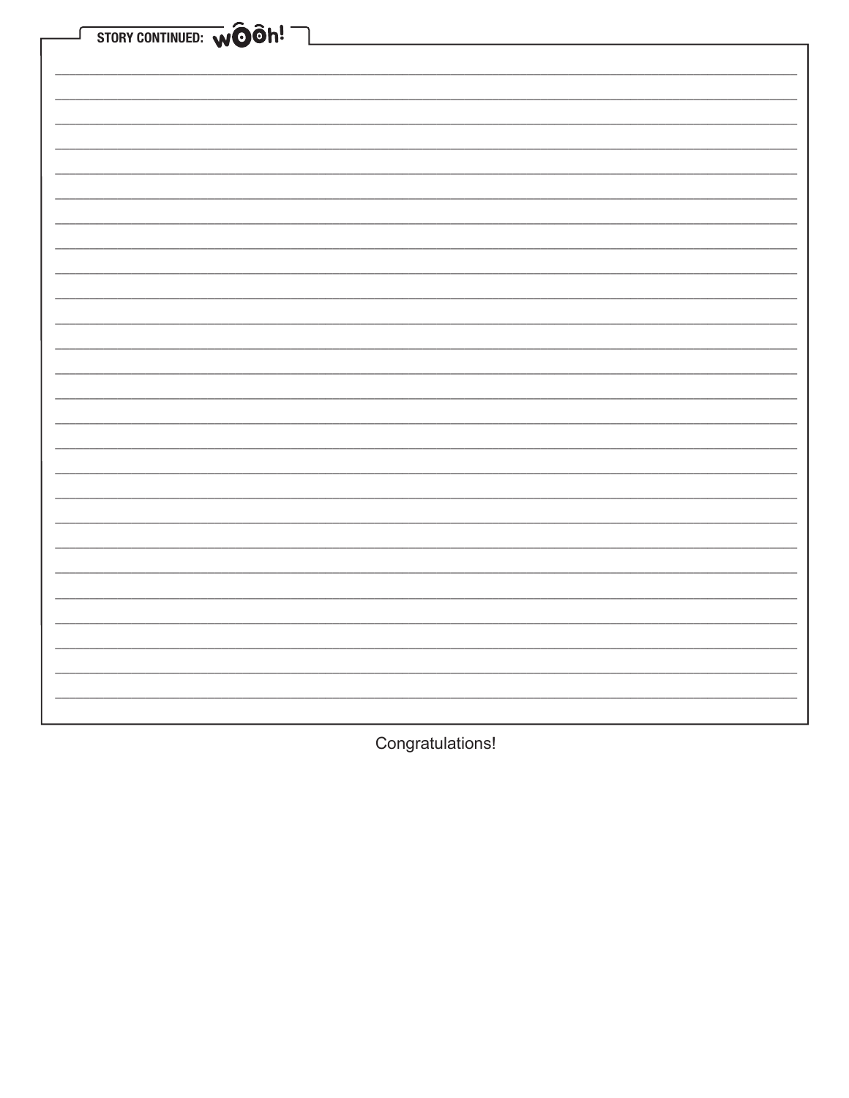| STORY CONTINUED: WOON! |
|------------------------|
|                        |
|                        |
|                        |
|                        |
|                        |
|                        |
|                        |
|                        |
|                        |
|                        |
|                        |
|                        |
|                        |
|                        |
|                        |
|                        |
|                        |
|                        |
|                        |
|                        |
|                        |
|                        |
|                        |

Congratulations!